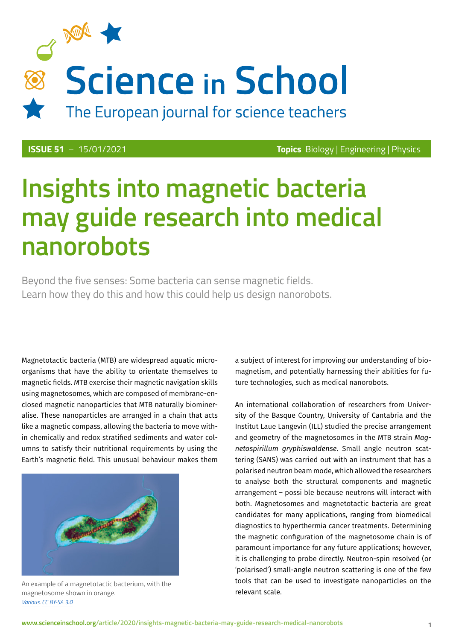

**ISSUE 51** – 15/01/2021 **Topics** Biology | Engineering | Physics

# **Insights into magnetic bacteria may guide research into medical nanorobots**

Beyond the five senses: Some bacteria can sense magnetic fields. Learn how they do this and how this could help us design nanorobots.

Magnetotactic bacteria (MTB) are widespread aquatic microorganisms that have the ability to orientate themselves to magnetic fields. MTB exercise their magnetic navigation skills using magnetosomes, which are composed of membrane-enclosed magnetic nanoparticles that MTB naturally biomineralise. These nanoparticles are arranged in a chain that acts like a magnetic compass, allowing the bacteria to move within chemically and redox stratified sediments and water columns to satisfy their nutritional requirements by using the Earth's magnetic field. This unusual behaviour makes them



An example of a magnetotactic bacterium, with the magnetosome shown in orange. *[Various](http://thesaurus.rusnano.com/wiki/article23635). [CC BY-SA 3.0](https://creativecommons.org/licenses/by-sa/3.0)*

a subject of interest for improving our understanding of biomagnetism, and potentially harnessing their abilities for future technologies, such as medical nanorobots.

An international collaboration of researchers from University of the Basque Country, University of Cantabria and the Institut Laue Langevin (ILL) studied the precise arrangement and geometry of the magnetosomes in the MTB strain *Magnetospirillum gryphiswaldense*. Small angle neutron scattering (SANS) was carried out with an instrument that has a polarised neutron beam mode, which allowed the researchers to analyse both the structural components and magnetic arrangement – possi ble because neutrons will interact with both. Magnetosomes and magnetotactic bacteria are great candidates for many applications, ranging from biomedical diagnostics to hyperthermia cancer treatments. Determining the magnetic configuration of the magnetosome chain is of paramount importance for any future applications; however, it is challenging to probe directly. Neutron-spin resolved (or 'polarised') small-angle neutron scattering is one of the few tools that can be used to investigate nanoparticles on the relevant scale.